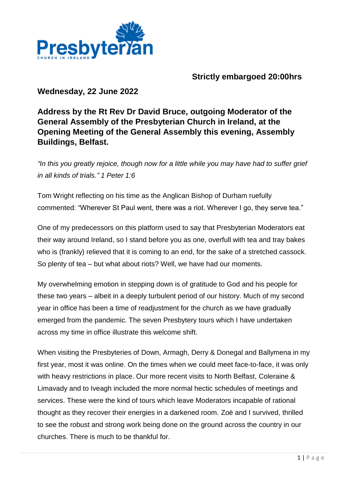

## **Strictly embargoed 20:00hrs**

## **Wednesday, 22 June 2022**

## **Address by the Rt Rev Dr David Bruce, outgoing Moderator of the General Assembly of the Presbyterian Church in Ireland, at the Opening Meeting of the General Assembly this evening, Assembly Buildings, Belfast.**

*"In this you greatly rejoice, though now for a little while you may have had to suffer grief in all kinds of trials." 1 Peter 1:6*

Tom Wright reflecting on his time as the Anglican Bishop of Durham ruefully commented: "Wherever St Paul went, there was a riot. Wherever I go, they serve tea."

One of my predecessors on this platform used to say that Presbyterian Moderators eat their way around Ireland, so I stand before you as one, overfull with tea and tray bakes who is (frankly) relieved that it is coming to an end, for the sake of a stretched cassock. So plenty of tea – but what about riots? Well, we have had our moments.

My overwhelming emotion in stepping down is of gratitude to God and his people for these two years – albeit in a deeply turbulent period of our history. Much of my second year in office has been a time of readjustment for the church as we have gradually emerged from the pandemic. The seven Presbytery tours which I have undertaken across my time in office illustrate this welcome shift.

When visiting the Presbyteries of Down, Armagh, Derry & Donegal and Ballymena in my first year, most it was online. On the times when we could meet face-to-face, it was only with heavy restrictions in place. Our more recent visits to North Belfast, Coleraine & Limavady and to Iveagh included the more normal hectic schedules of meetings and services. These were the kind of tours which leave Moderators incapable of rational thought as they recover their energies in a darkened room. Zoë and I survived, thrilled to see the robust and strong work being done on the ground across the country in our churches. There is much to be thankful for.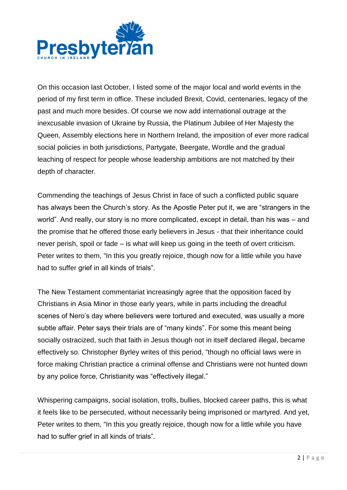

On this occasion last October, I listed some of the major local and world events in the period of my first term in office. These included Brexit, Covid, centenaries, legacy of the past and much more besides. Of course we now add international outrage at the inexcusable invasion of Ukraine by Russia, the Platinum Jubilee of Her Majesty the Queen, Assembly elections here in Northern Ireland, the imposition of ever more radical social policies in both jurisdictions, Partygate, Beergate, Wordle and the gradual leaching of respect for people whose leadership ambitions are not matched by their depth of character.

Commending the teachings of Jesus Christ in face of such a conflicted public square has always been the Church's story. As the Apostle Peter put it, we are "strangers in the world". And really, our story is no more complicated, except in detail, than his was – and the promise that he offered those early believers in Jesus - that their inheritance could never perish, spoil or fade – is what will keep us going in the teeth of overt criticism. Peter writes to them, "In this you greatly rejoice, though now for a little while you have had to suffer grief in all kinds of trials".

The New Testament commentariat increasingly agree that the opposition faced by Christians in Asia Minor in those early years, while in parts including the dreadful scenes of Nero's day where believers were tortured and executed, was usually a more subtle affair. Peter says their trials are of "many kinds". For some this meant being socially ostracized, such that faith in Jesus though not in itself declared illegal, became effectively so. Christopher Byrley writes of this period, "though no official laws were in force making Christian practice a criminal offense and Christians were not hunted down by any police force, Christianity was "effectively illegal."

Whispering campaigns, social isolation, trolls, bullies, blocked career paths, this is what it feels like to be persecuted, without necessarily being imprisoned or martyred. And yet, Peter writes to them, "In this you greatly rejoice, though now for a little while you have had to suffer grief in all kinds of trials".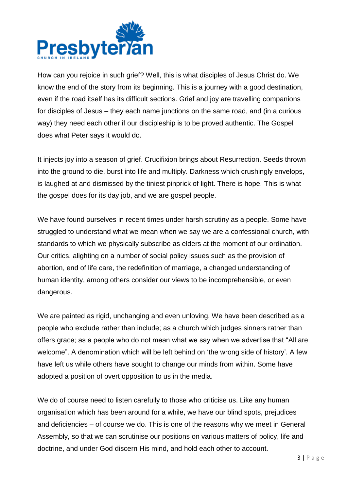

How can you rejoice in such grief? Well, this is what disciples of Jesus Christ do. We know the end of the story from its beginning. This is a journey with a good destination, even if the road itself has its difficult sections. Grief and joy are travelling companions for disciples of Jesus – they each name junctions on the same road, and (in a curious way) they need each other if our discipleship is to be proved authentic. The Gospel does what Peter says it would do.

It injects joy into a season of grief. Crucifixion brings about Resurrection. Seeds thrown into the ground to die, burst into life and multiply. Darkness which crushingly envelops, is laughed at and dismissed by the tiniest pinprick of light. There is hope. This is what the gospel does for its day job, and we are gospel people.

We have found ourselves in recent times under harsh scrutiny as a people. Some have struggled to understand what we mean when we say we are a confessional church, with standards to which we physically subscribe as elders at the moment of our ordination. Our critics, alighting on a number of social policy issues such as the provision of abortion, end of life care, the redefinition of marriage, a changed understanding of human identity, among others consider our views to be incomprehensible, or even dangerous.

We are painted as rigid, unchanging and even unloving. We have been described as a people who exclude rather than include; as a church which judges sinners rather than offers grace; as a people who do not mean what we say when we advertise that "All are welcome". A denomination which will be left behind on 'the wrong side of history'. A few have left us while others have sought to change our minds from within. Some have adopted a position of overt opposition to us in the media.

We do of course need to listen carefully to those who criticise us. Like any human organisation which has been around for a while, we have our blind spots, prejudices and deficiencies – of course we do. This is one of the reasons why we meet in General Assembly, so that we can scrutinise our positions on various matters of policy, life and doctrine, and under God discern His mind, and hold each other to account.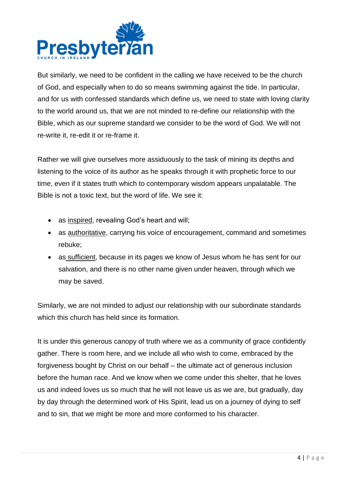

But similarly, we need to be confident in the calling we have received to be the church of God, and especially when to do so means swimming against the tide. In particular, and for us with confessed standards which define us, we need to state with loving clarity to the world around us, that we are not minded to re-define our relationship with the Bible, which as our supreme standard we consider to be the word of God. We will not re-write it, re-edit it or re-frame it.

Rather we will give ourselves more assiduously to the task of mining its depths and listening to the voice of its author as he speaks through it with prophetic force to our time, even if it states truth which to contemporary wisdom appears unpalatable. The Bible is not a toxic text, but the word of life. We see it:

- as inspired, revealing God's heart and will;
- as authoritative, carrying his voice of encouragement, command and sometimes rebuke;
- as sufficient, because in its pages we know of Jesus whom he has sent for our salvation, and there is no other name given under heaven, through which we may be saved.

Similarly, we are not minded to adjust our relationship with our subordinate standards which this church has held since its formation.

It is under this generous canopy of truth where we as a community of grace confidently gather. There is room here, and we include all who wish to come, embraced by the forgiveness bought by Christ on our behalf – the ultimate act of generous inclusion before the human race. And we know when we come under this shelter, that he loves us and indeed loves us so much that he will not leave us as we are, but gradually, day by day through the determined work of His Spirit, lead us on a journey of dying to self and to sin, that we might be more and more conformed to his character.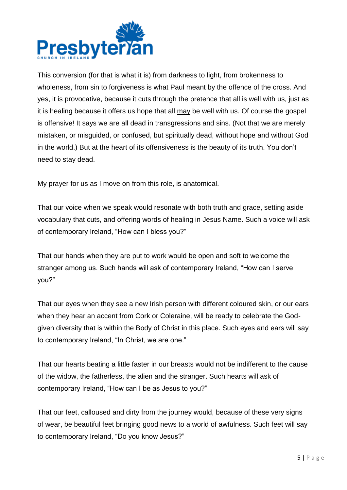

This conversion (for that is what it is) from darkness to light, from brokenness to wholeness, from sin to forgiveness is what Paul meant by the offence of the cross. And yes, it is provocative, because it cuts through the pretence that all is well with us, just as it is healing because it offers us hope that all may be well with us. Of course the gospel is offensive! It says we are all dead in transgressions and sins. (Not that we are merely mistaken, or misguided, or confused, but spiritually dead, without hope and without God in the world.) But at the heart of its offensiveness is the beauty of its truth. You don't need to stay dead.

My prayer for us as I move on from this role, is anatomical.

That our voice when we speak would resonate with both truth and grace, setting aside vocabulary that cuts, and offering words of healing in Jesus Name. Such a voice will ask of contemporary Ireland, "How can I bless you?"

That our hands when they are put to work would be open and soft to welcome the stranger among us. Such hands will ask of contemporary Ireland, "How can I serve you?"

That our eyes when they see a new Irish person with different coloured skin, or our ears when they hear an accent from Cork or Coleraine, will be ready to celebrate the Godgiven diversity that is within the Body of Christ in this place. Such eyes and ears will say to contemporary Ireland, "In Christ, we are one."

That our hearts beating a little faster in our breasts would not be indifferent to the cause of the widow, the fatherless, the alien and the stranger. Such hearts will ask of contemporary Ireland, "How can I be as Jesus to you?"

That our feet, calloused and dirty from the journey would, because of these very signs of wear, be beautiful feet bringing good news to a world of awfulness. Such feet will say to contemporary Ireland, "Do you know Jesus?"